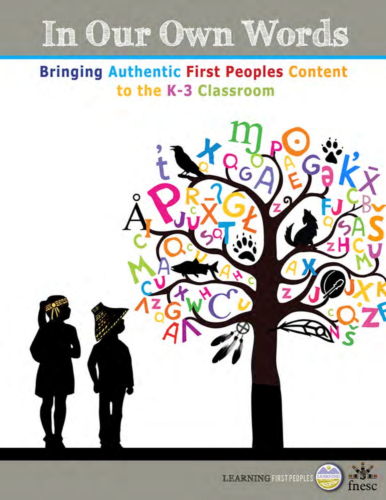# In Our Own Words

# **Bringing Authentic First Peoples Content** to the K-3 Classroom





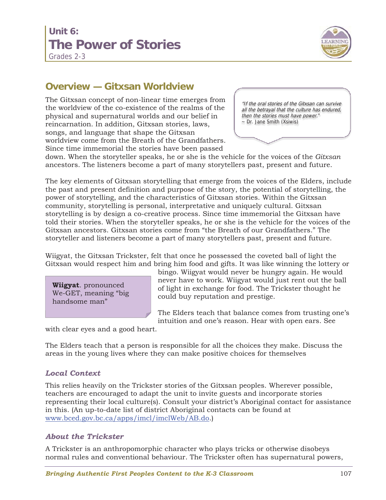# **Unit 6: The Power of Stories**



Grades 2-3

### **Overview — Gitxsan Worldview**

The Gitxsan concept of non-linear time emerges from the worldview of the co-existence of the realms of the physical and supernatural worlds and our belief in reincarnation. In addition, Gitxsan stories, laws, songs, and language that shape the Gitxsan worldview come from the Breath of the Grandfathers. Since time immemorial the stories have been passed

"If the oral stories of the Gitxsan can survive all the betrayal that the culture has endured, then the stories must have power." ~ Dr. Jane Smith (Xsiwis)

down. When the storyteller speaks, he or she is the vehicle for the voices of the *Gitxsan* ancestors. The listeners become a part of many storytellers past, present and future.

The key elements of Gitxsan storytelling that emerge from the voices of the Elders, include the past and present definition and purpose of the story, the potential of storytelling, the power of storytelling, and the characteristics of Gitxsan stories. Within the Gitxsan community, storytelling is personal, interpretative and uniquely cultural. Gitxsan storytelling is by design a co-creative process. Since time immemorial the Gitxsan have told their stories. When the storyteller speaks, he or she is the vehicle for the voices of the Gitxsan ancestors. Gitxsan stories come from "the Breath of our Grandfathers." The storyteller and listeners become a part of many storytellers past, present and future.

Wiigyat, the Gitxsan Trickster, felt that once he possessed the coveted ball of light the Gitxsan would respect him and bring him food and gifts. It was like winning the lottery or

**Wiigyat**. pronounced We-GET, meaning "big handsome man"

bingo. Wiigyat would never be hungry again. He would never have to work. Wiigyat would just rent out the ball of light in exchange for food. The Trickster thought he could buy reputation and prestige.

The Elders teach that balance comes from trusting one's intuition and one's reason. Hear with open ears. See

with clear eyes and a good heart.

The Elders teach that a person is responsible for all the choices they make. Discuss the areas in the young lives where they can make positive choices for themselves

### *Local Context*

This relies heavily on the Trickster stories of the Gitxsan peoples. Wherever possible, teachers are encouraged to adapt the unit to invite guests and incorporate stories representing their local culture(s). Consult your district's Aboriginal contact for assistance in this. (An up-to-date list of district Aboriginal contacts can be found at www.bced.gov.bc.ca/apps/imcl/imclWeb/AB.do.)

#### *About the Trickster*

A Trickster is an anthropomorphic character who plays tricks or otherwise disobeys normal rules and conventional behaviour. The Trickster often has supernatural powers,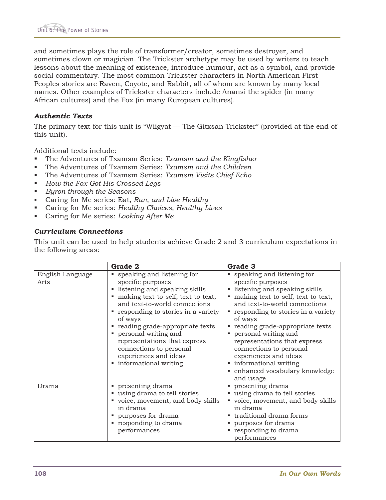and sometimes plays the role of transformer/creator, sometimes destroyer, and sometimes clown or magician. The Trickster archetype may be used by writers to teach lessons about the meaning of existence, introduce humour, act as a symbol, and provide social commentary. The most common Trickster characters in North American First Peoples stories are Raven, Coyote, and Rabbit, all of whom are known by many local names. Other examples of Trickster characters include Anansi the spider (in many African cultures) and the Fox (in many European cultures).

#### *Authentic Texts*

The primary text for this unit is "Wiigyat — The Gitxsan Trickster" (provided at the end of this unit).

Additional texts include:

- The Adventures of Txamsm Series: *Txamsm and the Kingfisher*
- The Adventures of Txamsm Series: *Txamsm and the Children*
- The Adventures of Txamsm Series: *Txamsm Visits Chief Echo*
- *How the Fox Got His Crossed Legs*
- *Byron through the Seasons*
- Caring for Me series: Eat*, Run, and Live Healthy*
- Caring for Me series: *Healthy Choices, Healthy Lives*
- Caring for Me series: *Looking After Me*

#### *Curriculum Connections*

This unit can be used to help students achieve Grade 2 and 3 curriculum expectations in the following areas:

|                          | Grade 2                                                                                                                                                                                                                                                                                                                                                                                  | Grade 3                                                                                                                                                                                                                                                                                                                                                                                                                                  |
|--------------------------|------------------------------------------------------------------------------------------------------------------------------------------------------------------------------------------------------------------------------------------------------------------------------------------------------------------------------------------------------------------------------------------|------------------------------------------------------------------------------------------------------------------------------------------------------------------------------------------------------------------------------------------------------------------------------------------------------------------------------------------------------------------------------------------------------------------------------------------|
| English Language<br>Arts | ■ speaking and listening for<br>specific purposes<br>• listening and speaking skills<br>making text-to-self, text-to-text,<br>and text-to-world connections<br>responding to stories in a variety<br>of ways<br>• reading grade-appropriate texts<br>personal writing and<br>representations that express<br>connections to personal<br>experiences and ideas<br>• informational writing | • speaking and listening for<br>specific purposes<br>• listening and speaking skills<br>making text-to-self, text-to-text,<br>and text-to-world connections<br>responding to stories in a variety<br>of ways<br>• reading grade-appropriate texts<br>personal writing and<br>representations that express<br>connections to personal<br>experiences and ideas<br>• informational writing<br>• enhanced vocabulary knowledge<br>and usage |
| Drama                    | • presenting drama<br>■ using drama to tell stories<br>voice, movement, and body skills<br>in drama<br>purposes for drama<br>responding to drama<br>performances                                                                                                                                                                                                                         | • presenting drama<br>■ using drama to tell stories<br>voice, movement, and body skills<br>in drama<br>■ traditional drama forms<br>purposes for drama<br>responding to drama<br>performances                                                                                                                                                                                                                                            |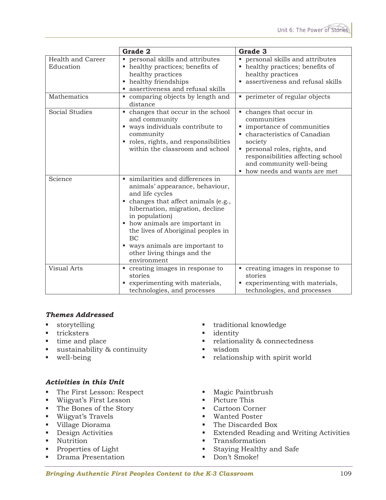|                                | Grade 2                                                                                                                                                                                                                                                                                                                                              | Grade 3                                                                                                                                                                                                                                             |
|--------------------------------|------------------------------------------------------------------------------------------------------------------------------------------------------------------------------------------------------------------------------------------------------------------------------------------------------------------------------------------------------|-----------------------------------------------------------------------------------------------------------------------------------------------------------------------------------------------------------------------------------------------------|
| Health and Career<br>Education | personal skills and attributes<br>٠<br>healthy practices; benefits of<br>ш<br>healthy practices<br>healthy friendships<br>ш<br>assertiveness and refusal skills<br>ш                                                                                                                                                                                 | personal skills and attributes<br>u,<br>• healthy practices; benefits of<br>healthy practices<br>assertiveness and refusal skills                                                                                                                   |
| Mathematics                    | • comparing objects by length and<br>distance                                                                                                                                                                                                                                                                                                        | perimeter of regular objects                                                                                                                                                                                                                        |
| <b>Social Studies</b>          | • changes that occur in the school<br>and community<br>• ways individuals contribute to<br>community<br>roles, rights, and responsibilities<br>ш<br>within the classroom and school                                                                                                                                                                  | • changes that occur in<br>communities<br>• importance of communities<br>characteristics of Canadian<br>society<br>personal roles, rights, and<br>٠<br>responsibilities affecting school<br>and community well-being<br>how needs and wants are met |
| Science                        | similarities and differences in<br>animals' appearance, behaviour,<br>and life cycles<br>changes that affect animals (e.g.,<br>ш<br>hibernation, migration, decline<br>in population)<br>• how animals are important in<br>the lives of Aboriginal peoples in<br>BC<br>" ways animals are important to<br>other living things and the<br>environment |                                                                                                                                                                                                                                                     |
| <b>Visual Arts</b>             | • creating images in response to<br>stories<br>experimenting with materials,<br>ш<br>technologies, and processes                                                                                                                                                                                                                                     | • creating images in response to<br>stories<br>experimenting with materials,<br>technologies, and processes                                                                                                                                         |

#### *Themes Addressed*

- **storytelling**
- **tricksters**
- $\blacksquare$  time and place
- sustainability & continuity
- well-being

#### *Activities in this Unit*

- The First Lesson: Respect
- Wiigyat's First Lesson
- The Bones of the Story
- Wiigyat's Travels
- Village Diorama
- **Design Activities**
- **Nutrition**
- Properties of Light
- **Drama Presentation**
- traditional knowledge
- **u** identity
- relationality & connectedness
- wisdom
- relationship with spirit world
- **Magic Paintbrush**
- Picture This
- Cartoon Corner
- Wanted Poster
- The Discarded Box
- Extended Reading and Writing Activities
- **Transformation**
- Staying Healthy and Safe
- Don't Smoke!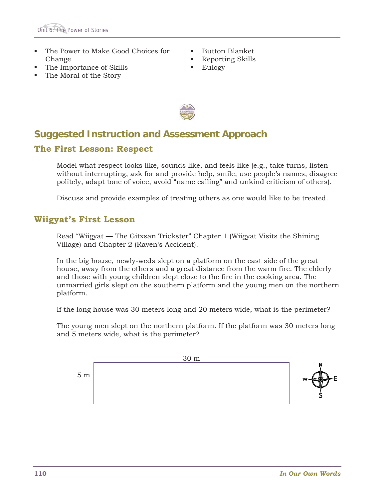

- The Power to Make Good Choices for Change
- The Importance of Skills
- The Moral of the Story
- Button Blanket
- Reporting Skills
- **Eulogy**



## **Suggested Instruction and Assessment Approach The First Lesson: Respect**

Model what respect looks like, sounds like, and feels like (e.g., take turns, listen without interrupting, ask for and provide help, smile, use people's names, disagree politely, adapt tone of voice, avoid "name calling" and unkind criticism of others).

Discuss and provide examples of treating others as one would like to be treated.

### **Wiigyat's First Lesson**

Read "Wiigyat — The Gitxsan Trickster" Chapter 1 (Wiigyat Visits the Shining Village) and Chapter 2 (Raven's Accident).

In the big house, newly-weds slept on a platform on the east side of the great house, away from the others and a great distance from the warm fire. The elderly and those with young children slept close to the fire in the cooking area. The unmarried girls slept on the southern platform and the young men on the northern platform.

If the long house was 30 meters long and 20 meters wide, what is the perimeter?

The young men slept on the northern platform. If the platform was 30 meters long and 5 meters wide, what is the perimeter?

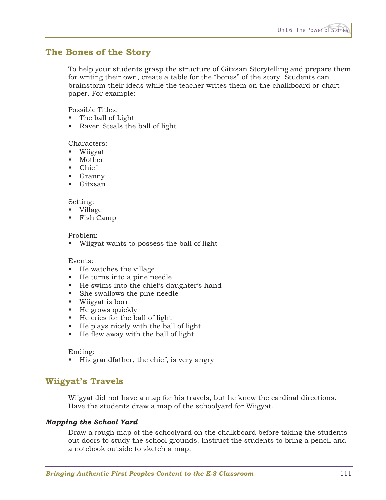### **The Bones of the Story**

To help your students grasp the structure of Gitxsan Storytelling and prepare them for writing their own, create a table for the "bones" of the story. Students can brainstorm their ideas while the teacher writes them on the chalkboard or chart paper. For example:

Possible Titles:

- The ball of Light
- Raven Steals the ball of light

#### Characters:

- Wiigyat
- **Mother**
- Chief
- **Granny**
- Gitxsan

#### Setting:

- Village
- Fish Camp

#### Problem:

Wiigyat wants to possess the ball of light

#### Events:

- $\blacksquare$  He watches the village
- He turns into a pine needle
- He swims into the chief's daughter's hand
- She swallows the pine needle
- Wiigyat is born
- $\blacksquare$  He grows quickly
- He cries for the ball of light
- $\blacksquare$  He plays nicely with the ball of light
- $\blacksquare$  He flew away with the ball of light

#### Ending:

■ His grandfather, the chief, is very angry

### **Wiigyat's Travels**

Wiigyat did not have a map for his travels, but he knew the cardinal directions. Have the students draw a map of the schoolyard for Wiigyat.

#### *Mapping the School Yard*

Draw a rough map of the schoolyard on the chalkboard before taking the students out doors to study the school grounds. Instruct the students to bring a pencil and a notebook outside to sketch a map.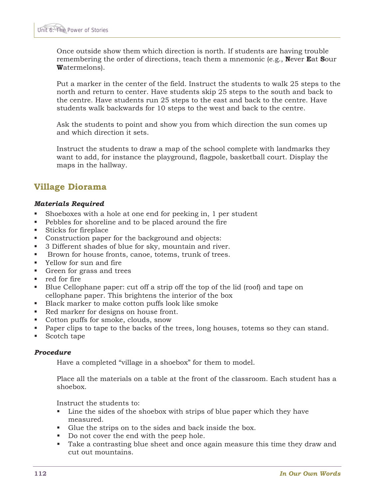Once outside show them which direction is north. If students are having trouble remembering the order of directions, teach them a mnemonic (e.g., **N**ever **E**at **S**our **W**atermelons).

Put a marker in the center of the field. Instruct the students to walk 25 steps to the north and return to center. Have students skip 25 steps to the south and back to the centre. Have students run 25 steps to the east and back to the centre. Have students walk backwards for 10 steps to the west and back to the centre.

Ask the students to point and show you from which direction the sun comes up and which direction it sets.

Instruct the students to draw a map of the school complete with landmarks they want to add, for instance the playground, flagpole, basketball court. Display the maps in the hallway.

### **Village Diorama**

#### *Materials Required*

- Shoeboxes with a hole at one end for peeking in, 1 per student
- Pebbles for shoreline and to be placed around the fire
- Sticks for fireplace
- Construction paper for the background and objects:
- 3 Different shades of blue for sky, mountain and river.
- **Brown for house fronts, canoe, totems, trunk of trees.**
- Yellow for sun and fire
- Green for grass and trees
- red for fire
- Blue Cellophane paper: cut off a strip off the top of the lid (roof) and tape on cellophane paper. This brightens the interior of the box
- Black marker to make cotton puffs look like smoke
- Red marker for designs on house front.
- Cotton puffs for smoke, clouds, snow
- Paper clips to tape to the backs of the trees, long houses, totems so they can stand.
- Scotch tape

#### *Procedure*

Have a completed "village in a shoebox" for them to model.

Place all the materials on a table at the front of the classroom. Each student has a shoebox.

Instruct the students to:

- Line the sides of the shoebox with strips of blue paper which they have measured.
- Glue the strips on to the sides and back inside the box.
- Do not cover the end with the peep hole.
- Take a contrasting blue sheet and once again measure this time they draw and cut out mountains.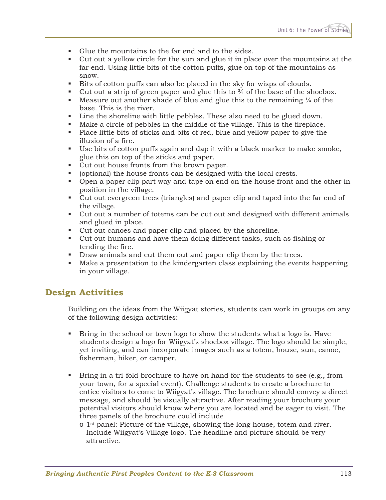- Glue the mountains to the far end and to the sides.
- Cut out a yellow circle for the sun and glue it in place over the mountains at the far end. Using little bits of the cotton puffs, glue on top of the mountains as snow.
- Bits of cotton puffs can also be placed in the sky for wisps of clouds.
- **Cut out a strip of green paper and glue this to**  $\frac{3}{4}$  **of the base of the shoebox.**
- Measure out another shade of blue and glue this to the remaining  $\frac{1}{4}$  of the base. This is the river.
- Line the shoreline with little pebbles. These also need to be glued down.
- Make a circle of pebbles in the middle of the village. This is the fireplace.
- Place little bits of sticks and bits of red, blue and yellow paper to give the illusion of a fire.
- Use bits of cotton puffs again and dap it with a black marker to make smoke, glue this on top of the sticks and paper.
- Cut out house fronts from the brown paper.
- (optional) the house fronts can be designed with the local crests.
- Open a paper clip part way and tape on end on the house front and the other in position in the village.
- Cut out evergreen trees (triangles) and paper clip and taped into the far end of the village.
- Cut out a number of totems can be cut out and designed with different animals and glued in place.
- Cut out canoes and paper clip and placed by the shoreline.
- Cut out humans and have them doing different tasks, such as fishing or tending the fire.
- Draw animals and cut them out and paper clip them by the trees.
- Make a presentation to the kindergarten class explaining the events happening in your village.

### **Design Activities**

Building on the ideas from the Wiigyat stories, students can work in groups on any of the following design activities:

- Bring in the school or town logo to show the students what a logo is. Have students design a logo for Wiigyat's shoebox village. The logo should be simple, yet inviting, and can incorporate images such as a totem, house, sun, canoe, fisherman, hiker, or camper.
- $\blacksquare$  Bring in a tri-fold brochure to have on hand for the students to see (e.g., from your town, for a special event). Challenge students to create a brochure to entice visitors to come to Wiigyat's village. The brochure should convey a direct message, and should be visually attractive. After reading your brochure your potential visitors should know where you are located and be eager to visit. The three panels of the brochure could include
	- $\circ$  1<sup>st</sup> panel: Picture of the village, showing the long house, totem and river. Include Wiigyat's Village logo. The headline and picture should be very attractive.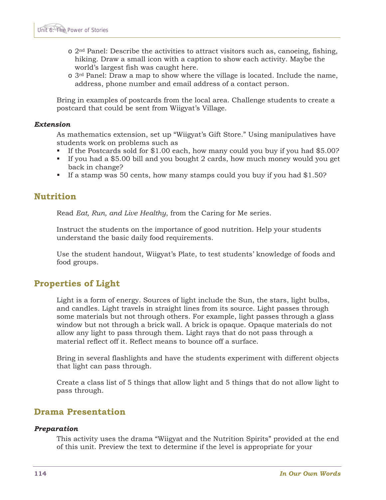- $\circ$  2<sup>nd</sup> Panel: Describe the activities to attract visitors such as, canoeing, fishing, hiking. Draw a small icon with a caption to show each activity. Maybe the world's largest fish was caught here.
- $\circ$  3<sup>rd</sup> Panel: Draw a map to show where the village is located. Include the name, address, phone number and email address of a contact person.

Bring in examples of postcards from the local area. Challenge students to create a postcard that could be sent from Wiigyat's Village.

#### *Extension*

As mathematics extension, set up "Wiigyat's Gift Store." Using manipulatives have students work on problems such as

- If the Postcards sold for \$1.00 each, how many could you buy if you had \$5.00?
- If you had a \$5.00 bill and you bought 2 cards, how much money would you get back in change?
- If a stamp was 50 cents, how many stamps could you buy if you had  $$1.50$ ?

### **Nutrition**

Read *Eat, Run, and Live Healthy*, from the Caring for Me series.

Instruct the students on the importance of good nutrition. Help your students understand the basic daily food requirements.

Use the student handout, Wiigyat's Plate, to test students' knowledge of foods and food groups.

### **Properties of Light**

Light is a form of energy. Sources of light include the Sun, the stars, light bulbs, and candles. Light travels in straight lines from its source. Light passes through some materials but not through others. For example, light passes through a glass window but not through a brick wall. A brick is opaque. Opaque materials do not allow any light to pass through them. Light rays that do not pass through a material reflect off it. Reflect means to bounce off a surface.

Bring in several flashlights and have the students experiment with different objects that light can pass through.

Create a class list of 5 things that allow light and 5 things that do not allow light to pass through.

### **Drama Presentation**

#### *Preparation*

This activity uses the drama "Wiigyat and the Nutrition Spirits" provided at the end of this unit. Preview the text to determine if the level is appropriate for your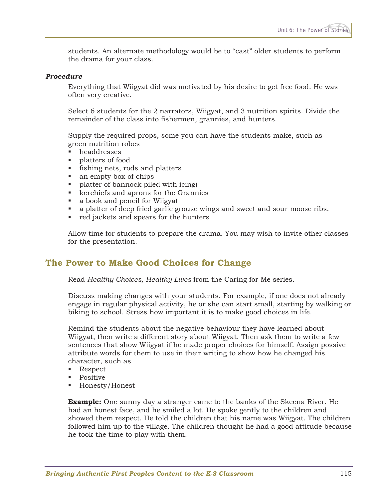students. An alternate methodology would be to "cast" older students to perform the drama for your class.

#### *Procedure*

Everything that Wiigyat did was motivated by his desire to get free food. He was often very creative.

Select 6 students for the 2 narrators, Wiigyat, and 3 nutrition spirits. Divide the remainder of the class into fishermen, grannies, and hunters.

Supply the required props, some you can have the students make, such as green nutrition robes

- **headdresses**
- **platters of food**
- fishing nets, rods and platters
- an empty box of chips
- **•** platter of bannock piled with icing
- kerchiefs and aprons for the Grannies
- a book and pencil for Wiigyat
- a platter of deep fried garlic grouse wings and sweet and sour moose ribs.
- red jackets and spears for the hunters

Allow time for students to prepare the drama. You may wish to invite other classes for the presentation.

### **The Power to Make Good Choices for Change**

Read *Healthy Choices, Healthy Lives* from the Caring for Me series.

Discuss making changes with your students. For example, if one does not already engage in regular physical activity, he or she can start small, starting by walking or biking to school. Stress how important it is to make good choices in life.

Remind the students about the negative behaviour they have learned about Wiigyat, then write a different story about Wiigyat. Then ask them to write a few sentences that show Wiigyat if he made proper choices for himself. Assign possive attribute words for them to use in their writing to show how he changed his character, such as

- Respect
- Positive
- Honesty/Honest

**Example:** One sunny day a stranger came to the banks of the Skeena River. He had an honest face, and he smiled a lot. He spoke gently to the children and showed them respect. He told the children that his name was Wiigyat. The children followed him up to the village. The children thought he had a good attitude because he took the time to play with them.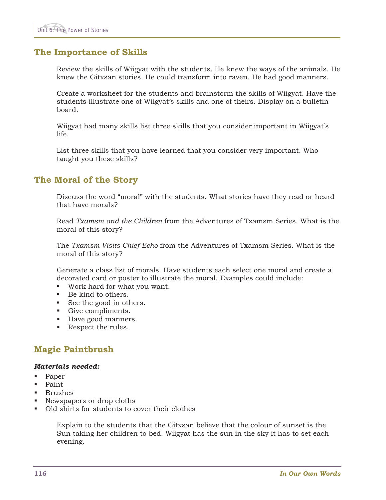### **The Importance of Skills**

Review the skills of Wiigyat with the students. He knew the ways of the animals. He knew the Gitxsan stories. He could transform into raven. He had good manners.

Create a worksheet for the students and brainstorm the skills of Wiigyat. Have the students illustrate one of Wiigyat's skills and one of theirs. Display on a bulletin board.

Wiigyat had many skills list three skills that you consider important in Wiigyat's life.

List three skills that you have learned that you consider very important. Who taught you these skills?

### **The Moral of the Story**

Discuss the word "moral" with the students. What stories have they read or heard that have morals?

Read *Txamsm and the Children* from the Adventures of Txamsm Series. What is the moral of this story?

The *Txamsm Visits Chief Echo* from the Adventures of Txamsm Series. What is the moral of this story?

Generate a class list of morals. Have students each select one moral and create a decorated card or poster to illustrate the moral. Examples could include:

- Work hard for what you want.
- Be kind to others.
- See the good in others.
- Give compliments.
- Have good manners.
- Respect the rules.

### **Magic Paintbrush**

#### *Materials needed:*

- Paper
- Paint
- Brushes
- Newspapers or drop cloths
- Old shirts for students to cover their clothes

Explain to the students that the Gitxsan believe that the colour of sunset is the Sun taking her children to bed. Wiigyat has the sun in the sky it has to set each evening.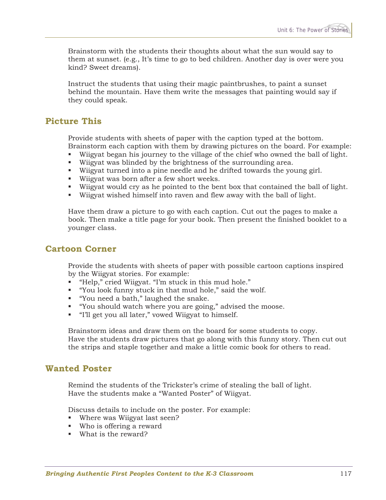Brainstorm with the students their thoughts about what the sun would say to them at sunset. (e.g., It's time to go to bed children. Another day is over were you kind? Sweet dreams).

Instruct the students that using their magic paintbrushes, to paint a sunset behind the mountain. Have them write the messages that painting would say if they could speak.

### **Picture This**

Provide students with sheets of paper with the caption typed at the bottom. Brainstorm each caption with them by drawing pictures on the board. For example:

- Wiigyat began his journey to the village of the chief who owned the ball of light.
- Wiigyat was blinded by the brightness of the surrounding area.
- Wiigyat turned into a pine needle and he drifted towards the young girl.
- Wiigyat was born after a few short weeks.
- Wiigyat would cry as he pointed to the bent box that contained the ball of light.
- Wiigyat wished himself into raven and flew away with the ball of light.

Have them draw a picture to go with each caption. Cut out the pages to make a book. Then make a title page for your book. Then present the finished booklet to a younger class.

### **Cartoon Corner**

Provide the students with sheets of paper with possible cartoon captions inspired by the Wiigyat stories. For example:

- "Help," cried Wiigyat. "I'm stuck in this mud hole."
- "You look funny stuck in that mud hole," said the wolf.
- "You need a bath," laughed the snake.
- "You should watch where you are going," advised the moose.
- "I'll get you all later," vowed Wiigyat to himself.

Brainstorm ideas and draw them on the board for some students to copy. Have the students draw pictures that go along with this funny story. Then cut out the strips and staple together and make a little comic book for others to read.

### **Wanted Poster**

Remind the students of the Trickster's crime of stealing the ball of light. Have the students make a "Wanted Poster" of Wiigyat.

Discuss details to include on the poster. For example:

- Where was Wiigyat last seen?
- Who is offering a reward
- What is the reward?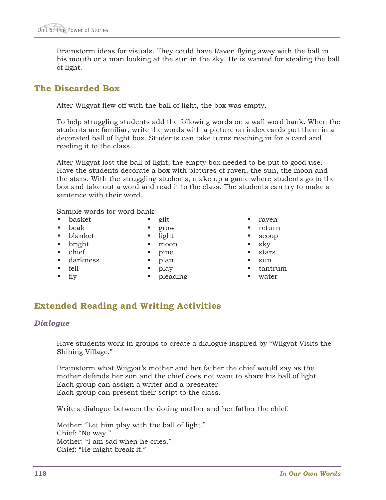Brainstorm ideas for visuals. They could have Raven flying away with the ball in his mouth or a man looking at the sun in the sky. He is wanted for stealing the ball of light.

### **The Discarded Box**

After Wiigyat flew off with the ball of light, the box was empty.

To help struggling students add the following words on a wall word bank. When the students are familiar, write the words with a picture on index cards put them in a decorated ball of light box. Students can take turns reaching in for a card and reading it to the class.

After Wiigyat lost the ball of light, the empty box needed to be put to good use. Have the students decorate a box with pictures of raven, the sun, the moon and the stars. With the struggling students, make up a game where students go to the box and take out a word and read it to the class. The students can try to make a sentence with their word.

Sample words for word bank:

- **basket**
- gift grow
- $\blacksquare$  beak blanket
- **bright**
- chief

• pine

 $\blacksquare$  light moon

- darkness
- plan play
- $\blacksquare$  fell  $\blacksquare$  fly

• pleading

- raven
- return
- scoop
- sky
- stars
- sun
- tantrum
- water

### **Extended Reading and Writing Activities**

#### *Dialogue*

Have students work in groups to create a dialogue inspired by "Wiigyat Visits the Shining Village."

Brainstorm what Wiigyat's mother and her father the chief would say as the mother defends her son and the chief does not want to share his ball of light. Each group can assign a writer and a presenter. Each group can present their script to the class.

Write a dialogue between the doting mother and her father the chief.

Mother: "Let him play with the ball of light." Chief: "No way." Mother: "I am sad when he cries." Chief: "He might break it."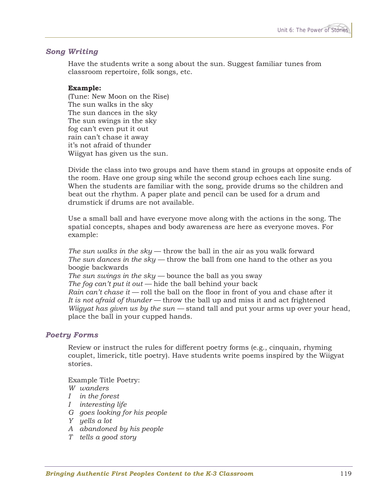#### *Song Writing*

Have the students write a song about the sun. Suggest familiar tunes from classroom repertoire, folk songs, etc.

#### **Example:**

(Tune: New Moon on the Rise) The sun walks in the sky The sun dances in the sky The sun swings in the sky fog can't even put it out rain can't chase it away it's not afraid of thunder Wiigyat has given us the sun.

Divide the class into two groups and have them stand in groups at opposite ends of the room. Have one group sing while the second group echoes each line sung. When the students are familiar with the song, provide drums so the children and beat out the rhythm. A paper plate and pencil can be used for a drum and drumstick if drums are not available.

Use a small ball and have everyone move along with the actions in the song. The spatial concepts, shapes and body awareness are here as everyone moves. For example:

*The sun walks in the sky* — throw the ball in the air as you walk forward *The sun dances in the sky —* throw the ball from one hand to the other as you boogie backwards *The sun swings in the sky —* bounce the ball as you sway *The fog can't put it out —* hide the ball behind your back *Rain can't chase it —* roll the ball on the floor in front of you and chase after it *It is not afraid of thunder —* throw the ball up and miss it and act frightened *Wiigyat has given us by the sun —* stand tall and put your arms up over your head, place the ball in your cupped hands.

#### *Poetry Forms*

Review or instruct the rules for different poetry forms (e.g., cinquain, rhyming couplet, limerick, title poetry). Have students write poems inspired by the Wiigyat stories.

Example Title Poetry:

*W wanders* 

- *I in the forest*
- *I interesting life*
- *G goes looking for his people*
- *Y yells a lot*
- *A abandoned by his people*
- *T tells a good story*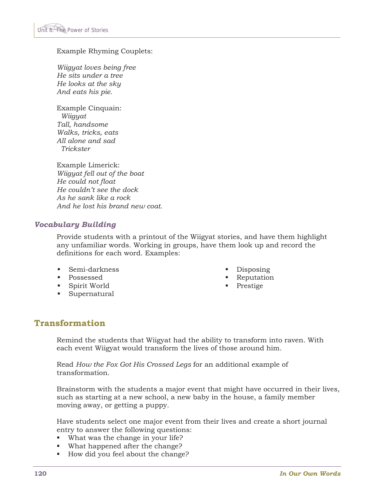Example Rhyming Couplets:

*Wiigyat loves being free He sits under a tree He looks at the sky And eats his pie.* 

Example Cinquain:  *Wiigyat Tall, handsome Walks, tricks, eats All alone and sad Trickster* 

Example Limerick: *Wiigyat fell out of the boat He could not float He couldn't see the dock As he sank like a rock And he lost his brand new coat.* 

#### *Vocabulary Building*

Provide students with a printout of the Wiigyat stories, and have them highlight any unfamiliar words. Working in groups, have them look up and record the definitions for each word. Examples:

- Semi-darkness
- **Possessed**
- Spirit World
- **Supernatural**
- Disposing
- **Reputation**
- Prestige

### **Transformation**

Remind the students that Wiigyat had the ability to transform into raven. With each event Wiigyat would transform the lives of those around him.

Read *How the Fox Got His Crossed Legs* for an additional example of transformation.

Brainstorm with the students a major event that might have occurred in their lives, such as starting at a new school, a new baby in the house, a family member moving away, or getting a puppy.

Have students select one major event from their lives and create a short journal entry to answer the following questions:

- What was the change in your life?
- What happened after the change?
- How did you feel about the change?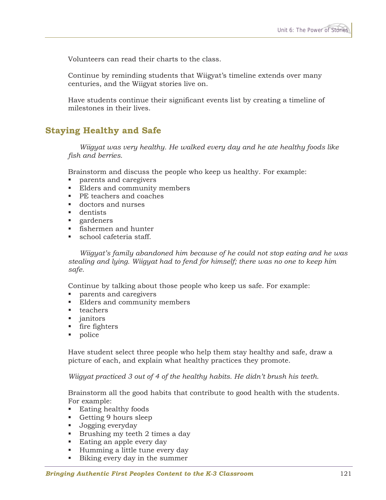Volunteers can read their charts to the class.

Continue by reminding students that Wiigyat's timeline extends over many centuries, and the Wiigyat stories live on.

Have students continue their significant events list by creating a timeline of milestones in their lives.

### **Staying Healthy and Safe**

 *Wiigyat was very healthy. He walked every day and he ate healthy foods like fish and berries.* 

Brainstorm and discuss the people who keep us healthy. For example:

- **parents and caregivers**
- Elders and community members
- PE teachers and coaches
- doctors and nurses
- **dentists**
- **gardeners**
- **fishermen and hunter**
- school cafeteria staff.

 *Wiigyat's family abandoned him because of he could not stop eating and he was stealing and lying. Wiigyat had to fend for himself; there was no one to keep him safe.* 

Continue by talking about those people who keep us safe. For example:

- parents and caregivers
- Elders and community members
- $\blacksquare$  teachers
- janitors
- **fire fighters**
- police

Have student select three people who help them stay healthy and safe, draw a picture of each, and explain what healthy practices they promote.

*Wiigyat practiced 3 out of 4 of the healthy habits. He didn't brush his teeth.* 

Brainstorm all the good habits that contribute to good health with the students. For example:

- Eating healthy foods
- Getting 9 hours sleep
- Jogging everyday
- **Brushing my teeth 2 times a day**
- Eating an apple every day
- **Humming a little tune every day**
- Biking every day in the summer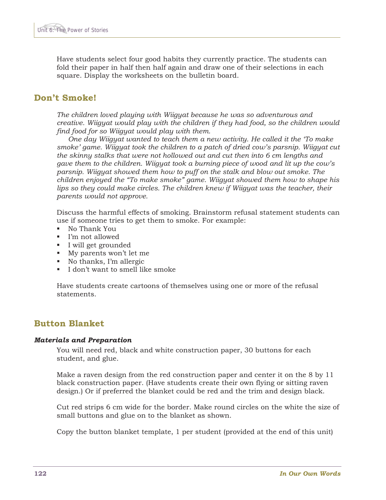Have students select four good habits they currently practice. The students can fold their paper in half then half again and draw one of their selections in each square. Display the worksheets on the bulletin board.

### **Don't Smoke!**

*The children loved playing with Wiigyat because he was so adventurous and creative. Wiigyat would play with the children if they had food, so the children would find food for so Wiigyat would play with them.* 

 *One day Wiigyat wanted to teach them a new activity. He called it the 'To make smoke' game. Wiigyat took the children to a patch of dried cow's parsnip. Wiigyat cut the skinny stalks that were not hollowed out and cut then into 6 cm lengths and gave them to the children. Wiigyat took a burning piece of wood and lit up the cow's parsnip. Wiigyat showed them how to puff on the stalk and blow out smoke. The children enjoyed the "To make smoke" game. Wiigyat showed them how to shape his lips so they could make circles. The children knew if Wiigyat was the teacher, their parents would not approve.* 

Discuss the harmful effects of smoking. Brainstorm refusal statement students can use if someone tries to get them to smoke. For example:

- No Thank You
- I'm not allowed
- I will get grounded
- My parents won't let me
- No thanks, I'm allergic
- I don't want to smell like smoke

Have students create cartoons of themselves using one or more of the refusal statements.

### **Button Blanket**

#### *Materials and Preparation*

You will need red, black and white construction paper, 30 buttons for each student, and glue.

Make a raven design from the red construction paper and center it on the 8 by 11 black construction paper. (Have students create their own flying or sitting raven design.) Or if preferred the blanket could be red and the trim and design black.

Cut red strips 6 cm wide for the border. Make round circles on the white the size of small buttons and glue on to the blanket as shown.

Copy the button blanket template, 1 per student (provided at the end of this unit)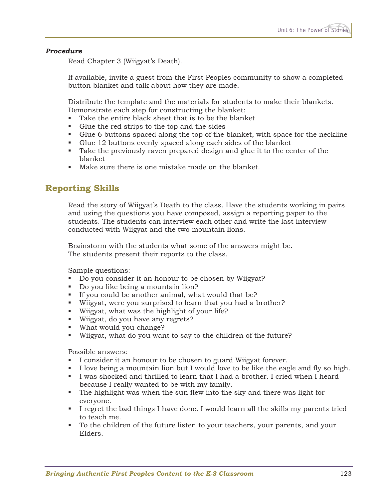#### *Procedure*

Read Chapter 3 (Wiigyat's Death).

If available, invite a guest from the First Peoples community to show a completed button blanket and talk about how they are made.

Distribute the template and the materials for students to make their blankets. Demonstrate each step for constructing the blanket:

- Take the entire black sheet that is to be the blanket
- Glue the red strips to the top and the sides
- Glue 6 buttons spaced along the top of the blanket, with space for the neckline
- Glue 12 buttons evenly spaced along each sides of the blanket
- Take the previously raven prepared design and glue it to the center of the blanket
- Make sure there is one mistake made on the blanket.

### **Reporting Skills**

Read the story of Wiigyat's Death to the class. Have the students working in pairs and using the questions you have composed, assign a reporting paper to the students. The students can interview each other and write the last interview conducted with Wiigyat and the two mountain lions.

Brainstorm with the students what some of the answers might be. The students present their reports to the class.

Sample questions:

- Do you consider it an honour to be chosen by Wiigyat?
- Do you like being a mountain lion?
- If you could be another animal, what would that be?
- Wiigyat, were you surprised to learn that you had a brother?
- Wiigyat, what was the highlight of your life?
- Wiigyat, do you have any regrets?
- What would you change?
- Wiigyat, what do you want to say to the children of the future?

Possible answers:

- I consider it an honour to be chosen to guard Wiigyat forever.
- I love being a mountain lion but I would love to be like the eagle and fly so high.
- I was shocked and thrilled to learn that I had a brother. I cried when I heard because I really wanted to be with my family.
- The highlight was when the sun flew into the sky and there was light for everyone.
- I regret the bad things I have done. I would learn all the skills my parents tried to teach me.
- To the children of the future listen to your teachers, your parents, and your Elders.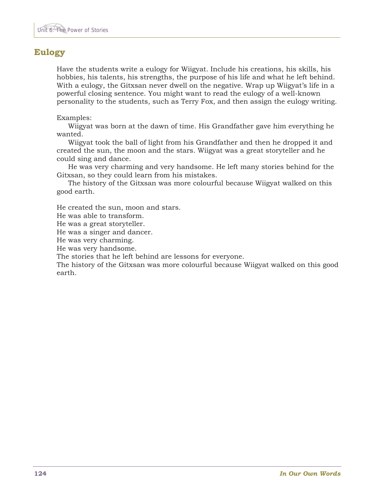### **Eulogy**

Have the students write a eulogy for Wiigyat. Include his creations, his skills, his hobbies, his talents, his strengths, the purpose of his life and what he left behind. With a eulogy, the Gitxsan never dwell on the negative. Wrap up Wiigyat's life in a powerful closing sentence. You might want to read the eulogy of a well-known personality to the students, such as Terry Fox, and then assign the eulogy writing.

#### Examples:

 Wiigyat was born at the dawn of time. His Grandfather gave him everything he wanted.

 Wiigyat took the ball of light from his Grandfather and then he dropped it and created the sun, the moon and the stars. Wiigyat was a great storyteller and he could sing and dance.

 He was very charming and very handsome. He left many stories behind for the Gitxsan, so they could learn from his mistakes.

 The history of the Gitxsan was more colourful because Wiigyat walked on this good earth.

He created the sun, moon and stars.

He was able to transform.

He was a great storyteller.

He was a singer and dancer.

He was very charming.

He was very handsome.

The stories that he left behind are lessons for everyone.

The history of the Gitxsan was more colourful because Wiigyat walked on this good earth.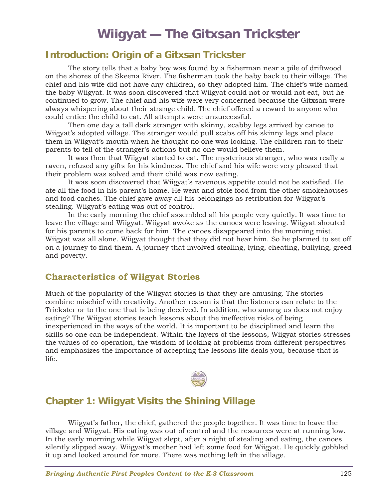# **Wiigyat — The Gitxsan Trickster**

### **Introduction: Origin of a Gitxsan Trickster**

 The story tells that a baby boy was found by a fisherman near a pile of driftwood on the shores of the Skeena River. The fisherman took the baby back to their village. The chief and his wife did not have any children, so they adopted him. The chief's wife named the baby Wiigyat. It was soon discovered that Wiigyat could not or would not eat, but he continued to grow. The chief and his wife were very concerned because the Gitxsan were always whispering about their strange child. The chief offered a reward to anyone who could entice the child to eat. All attempts were unsuccessful.

 Then one day a tall dark stranger with skinny, scabby legs arrived by canoe to Wiigyat's adopted village. The stranger would pull scabs off his skinny legs and place them in Wiigyat's mouth when he thought no one was looking. The children ran to their parents to tell of the stranger's actions but no one would believe them.

 It was then that Wiigyat started to eat. The mysterious stranger, who was really a raven, refused any gifts for his kindness. The chief and his wife were very pleased that their problem was solved and their child was now eating.

 It was soon discovered that Wiigyat's ravenous appetite could not be satisfied. He ate all the food in his parent's home. He went and stole food from the other smokehouses and food caches. The chief gave away all his belongings as retribution for Wiigyat's stealing. Wiigyat's eating was out of control.

 In the early morning the chief assembled all his people very quietly. It was time to leave the village and Wiigyat. Wiigyat awoke as the canoes were leaving. Wiigyat shouted for his parents to come back for him. The canoes disappeared into the morning mist. Wiigyat was all alone. Wiigyat thought that they did not hear him. So he planned to set off on a journey to find them. A journey that involved stealing, lying, cheating, bullying, greed and poverty.

### **Characteristics of Wiigyat Stories**

Much of the popularity of the Wiigyat stories is that they are amusing. The stories combine mischief with creativity. Another reason is that the listeners can relate to the Trickster or to the one that is being deceived. In addition, who among us does not enjoy eating? The Wiigyat stories teach lessons about the ineffective risks of being inexperienced in the ways of the world. It is important to be disciplined and learn the skills so one can be independent. Within the layers of the lessons, Wiigyat stories stresses the values of co-operation, the wisdom of looking at problems from different perspectives and emphasizes the importance of accepting the lessons life deals you, because that is life.



### **Chapter 1: Wiigyat Visits the Shining Village**

 Wiigyat's father, the chief, gathered the people together. It was time to leave the village and Wiigyat. His eating was out of control and the resources were at running low. In the early morning while Wiigyat slept, after a night of stealing and eating, the canoes silently slipped away. Wiigyat's mother had left some food for Wiigyat. He quickly gobbled it up and looked around for more. There was nothing left in the village.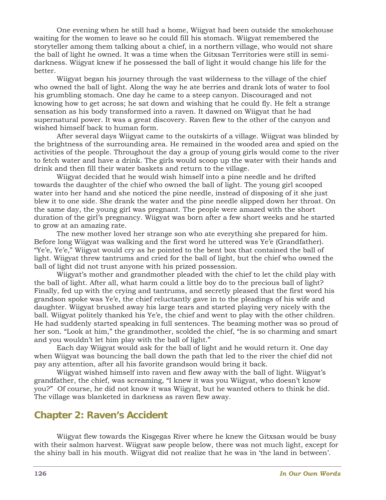One evening when he still had a home, Wiigyat had been outside the smokehouse waiting for the women to leave so he could fill his stomach. Wiigyat remembered the storyteller among them talking about a chief, in a northern village, who would not share the ball of light he owned. It was a time when the Gitxsan Territories were still in semidarkness. Wiigyat knew if he possessed the ball of light it would change his life for the better.

 Wiigyat began his journey through the vast wilderness to the village of the chief who owned the ball of light. Along the way he ate berries and drank lots of water to fool his grumbling stomach. One day he came to a steep canyon. Discouraged and not knowing how to get across; he sat down and wishing that he could fly. He felt a strange sensation as his body transformed into a raven. It dawned on Wiigyat that he had supernatural power. It was a great discovery. Raven flew to the other of the canyon and wished himself back to human form.

 After several days Wiigyat came to the outskirts of a village. Wiigyat was blinded by the brightness of the surrounding area. He remained in the wooded area and spied on the activities of the people. Throughout the day a group of young girls would come to the river to fetch water and have a drink. The girls would scoop up the water with their hands and drink and then fill their water baskets and return to the village.

 Wiigyat decided that he would wish himself into a pine needle and he drifted towards the daughter of the chief who owned the ball of light. The young girl scooped water into her hand and she noticed the pine needle, instead of disposing of it she just blew it to one side. She drank the water and the pine needle slipped down her throat. On the same day, the young girl was pregnant. The people were amazed with the short duration of the girl's pregnancy. Wiigyat was born after a few short weeks and he started to grow at an amazing rate.

 The new mother loved her strange son who ate everything she prepared for him. Before long Wiigyat was walking and the first word he uttered was Ye'e (Grandfather). "Ye'e, Ye'e," Wiigyat would cry as he pointed to the bent box that contained the ball of light. Wiigyat threw tantrums and cried for the ball of light, but the chief who owned the ball of light did not trust anyone with his prized possession.

 Wiigyat's mother and grandmother pleaded with the chief to let the child play with the ball of light. After all, what harm could a little boy do to the precious ball of light? Finally, fed up with the crying and tantrums, and secretly pleased that the first word his grandson spoke was Ye'e, the chief reluctantly gave in to the pleadings of his wife and daughter. Wiigyat brushed away his large tears and started playing very nicely with the ball. Wiigyat politely thanked his Ye'e, the chief and went to play with the other children. He had suddenly started speaking in full sentences. The beaming mother was so proud of her son. "Look at him," the grandmother, scolded the chief, "he is so charming and smart and you wouldn't let him play with the ball of light."

 Each day Wiigyat would ask for the ball of light and he would return it. One day when Wiigyat was bouncing the ball down the path that led to the river the chief did not pay any attention, after all his favorite grandson would bring it back.

 Wiigyat wished himself into raven and flew away with the ball of light. Wiigyat's grandfather, the chief, was screaming, "I knew it was you Wiigyat, who doesn't know you?" Of course, he did not know it was Wiigyat, but he wanted others to think he did. The village was blanketed in darkness as raven flew away.

### **Chapter 2: Raven's Accident**

 Wiigyat flew towards the Kisgegas River where he knew the Gitxsan would be busy with their salmon harvest. Wiigyat saw people below, there was not much light, except for the shiny ball in his mouth. Wiigyat did not realize that he was in 'the land in between'.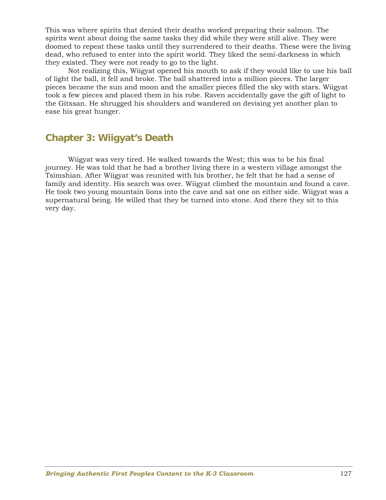This was where spirits that denied their deaths worked preparing their salmon. The spirits went about doing the same tasks they did while they were still alive. They were doomed to repeat these tasks until they surrendered to their deaths. These were the living dead, who refused to enter into the spirit world. They liked the semi-darkness in which they existed. They were not ready to go to the light.

 Not realizing this, Wiigyat opened his mouth to ask if they would like to use his ball of light the ball, it fell and broke. The ball shattered into a million pieces. The larger pieces became the sun and moon and the smaller pieces filled the sky with stars. Wiigyat took a few pieces and placed them in his robe. Raven accidentally gave the gift of light to the Gitxsan. He shrugged his shoulders and wandered on devising yet another plan to ease his great hunger.

### **Chapter 3: Wiigyat's Death**

 Wiigyat was very tired. He walked towards the West; this was to be his final journey. He was told that he had a brother living there in a western village amongst the Tsimshian. After Wiigyat was reunited with his brother, he felt that he had a sense of family and identity. His search was over. Wiigyat climbed the mountain and found a cave. He took two young mountain lions into the cave and sat one on either side. Wiigyat was a supernatural being. He willed that they be turned into stone. And there they sit to this very day.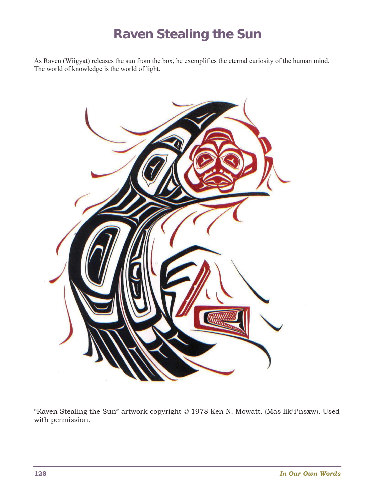# **Raven Stealing the Sun**

As Raven (Wiigyat) releases the sun from the box, he exemplifies the eternal curiosity of the human mind. The world of knowledge is the world of light.



"Raven Stealing the Sun" artwork copyright © 1978 Ken N. Mowatt. (Mas lik<sup>1</sup>i<sup>1</sup>nsxw). Used with permission.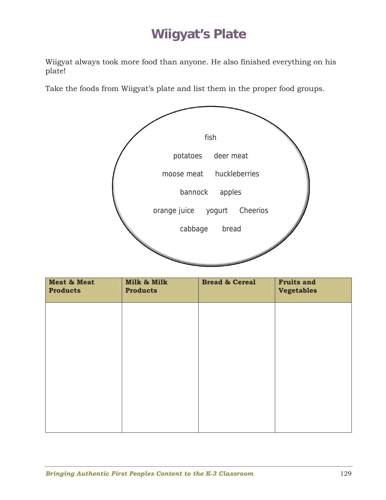# **Wiigyat's Plate**

Wiigyat always took more food than anyone. He also finished everything on his plate!

Take the foods from Wiigyat's plate and list them in the proper food groups.



| Meat & Meat<br><b>Products</b> | Milk & Milk<br><b>Products</b> | <b>Bread &amp; Cereal</b> | <b>Fruits and</b><br><b>Vegetables</b> |
|--------------------------------|--------------------------------|---------------------------|----------------------------------------|
|                                |                                |                           |                                        |
|                                |                                |                           |                                        |
|                                |                                |                           |                                        |
|                                |                                |                           |                                        |
|                                |                                |                           |                                        |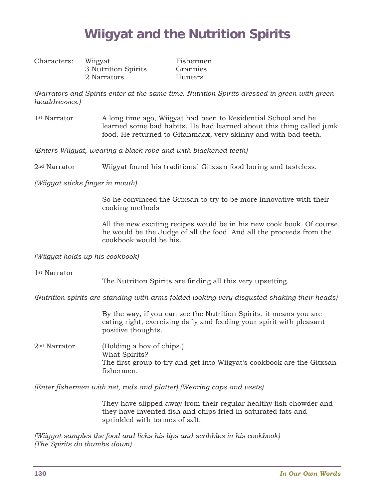# **Wiigyat and the Nutrition Spirits**

| Characters: | Wiigyat             |
|-------------|---------------------|
|             | 3 Nutrition Spirits |
|             | 2 Narrators         |

Fishermen Grannies Hunters

*(Narrators and Spirits enter at the same time. Nutrition Spirits dressed in green with green headdresses.)* 

1st Narrator A long time ago, Wiigyat had been to Residential School and he learned some bad habits. He had learned about this thing called junk food. He returned to Gitanmaax, very skinny and with bad teeth.

*(Enters Wiigyat, wearing a black robe and with blackened teeth)* 

2nd Narrator Wiigyat found his traditional Gitxsan food boring and tasteless.

*(Wiigyat sticks finger in mouth)* 

 So he convinced the Gitxsan to try to be more innovative with their cooking methods

 All the new exciting recipes would be in his new cook book. Of course, he would be the Judge of all the food. And all the proceeds from the cookbook would be his.

*(Wiigyat holds up his cookbook)* 

1st Narrator

The Nutrition Spirits are finding all this very upsetting.

*(Nutrition spirits are standing with arms folded looking very disgusted shaking their heads)* 

 By the way, if you can see the Nutrition Spirits, it means you are eating right, exercising daily and feeding your spirit with pleasant positive thoughts.

2nd Narrator (Holding a box of chips.) What Spirits? The first group to try and get into Wiigyat's cookbook are the Gitxsan fishermen.

*(Enter fishermen with net, rods and platter) (Wearing caps and vests)* 

 They have slipped away from their regular healthy fish chowder and they have invented fish and chips fried in saturated fats and sprinkled with tonnes of salt.

*(Wiigyat samples the food and licks his lips and scribbles in his cookbook) (The Spirits do thumbs down)*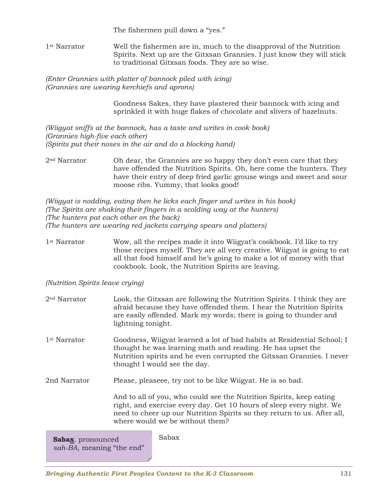The fishermen pull down a "yes."

1st Narrator Well the fishermen are in, much to the disapproval of the Nutrition Spirits. Next up are the Gitxsan Grannies. I just know they will stick to traditional Gitxsan foods. They are so wise.

*(Enter Grannies with platter of bannock piled with icing) (Grannies are wearing kerchiefs and aprons)* 

> Goodness Sakes, they have plastered their bannock with icing and sprinkled it with huge flakes of chocolate and slivers of hazelnuts.

*(Wiigyat sniffs at the bannock, has a taste and writes in cook book) (Grannies high-five each other) (Spirits put their noses in the air and do a blocking hand)* 

2<sup>nd</sup> Narrator Oh dear, the Grannies are so happy they don't even care that they have offended the Nutrition Spirits. Oh, here come the hunters. They have their entry of deep fried garlic grouse wings and sweet and sour moose ribs. Yummy, that looks good!

*(Wiigyat is nodding, eating then he licks each finger and writes in his book) (The Spirits are shaking their fingers in a scolding way at the hunters) (The hunters pat each other on the back) (The hunters are wearing red jackets carrying spears and platters)* 

1st Narrator Wow, all the recipes made it into Wiigyat's cookbook. I'd like to try those recipes myself. They are all very creative. Wiigyat is going to eat all that food himself and he's going to make a lot of money with that cookbook. Look, the Nutrition Spirits are leaving.

*(Nutrition Spirits leave crying)* 

2nd Narrator Look, the Gitxsan are following the Nutrition Spirits. I think they are afraid because they have offended them. I hear the Nutrition Spirits are easily offended. Mark my words; there is going to thunder and lightning tonight.

1st Narrator Goodness, Wiigyat learned a lot of bad habits at Residential School; I thought he was learning math and reading. He has upset the Nutrition spirits and he even corrupted the Gitxsan Grannies. I never thought I would see the day.

2nd Narrator Please, pleaseee, try not to be like Wiigyat. He is so bad.

 And to all of you, who could see the Nutrition Spirits, keep eating right, and exercise every day. Get 10 hours of sleep every night. We need to cheer up our Nutrition Spirits so they return to us. After all, where would we be without them?

| Sabax. pronounced         | Sabax |
|---------------------------|-------|
| sah-BA, meaning "the end" |       |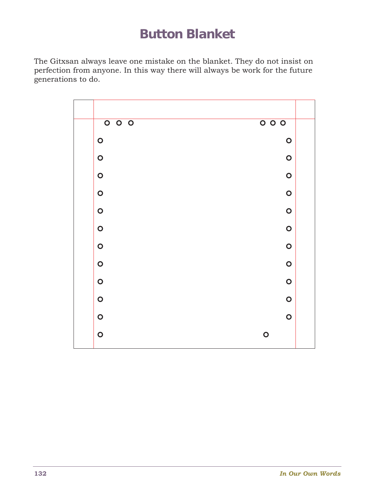# **Button Blanket**

The Gitxsan always leave one mistake on the blanket. They do not insist on perfection from anyone. In this way there will always be work for the future generations to do.

| 000       | $\overline{\circ\circ\circ}$ |  |
|-----------|------------------------------|--|
| $\bullet$ | $\bullet$                    |  |
| $\bullet$ | $\bullet$                    |  |
| $\bullet$ | $\bullet$                    |  |
| $\bullet$ | $\bullet$                    |  |
| $\bullet$ | $\bullet$                    |  |
| $\bullet$ | $\bullet$                    |  |
| $\bullet$ | $\bullet$                    |  |
| $\bullet$ | $\bullet$                    |  |
| $\bullet$ | $\bullet$                    |  |
| $\bullet$ | $\bullet$                    |  |
| $\bullet$ | $\bullet$                    |  |
| $\bullet$ | $\bullet$                    |  |
|           |                              |  |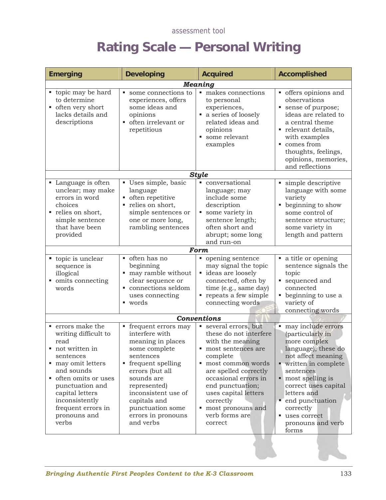# **Rating Scale — Personal Writing**

| <b>Emerging</b>                                                                                                                                                                                                                                                     | <b>Developing</b>                                                                                                                                                                                                                                                | <b>Acquired</b>                                                                                                                                                                                                                                                                                            | <b>Accomplished</b>                                                                                                                                                                                                                                                                      |
|---------------------------------------------------------------------------------------------------------------------------------------------------------------------------------------------------------------------------------------------------------------------|------------------------------------------------------------------------------------------------------------------------------------------------------------------------------------------------------------------------------------------------------------------|------------------------------------------------------------------------------------------------------------------------------------------------------------------------------------------------------------------------------------------------------------------------------------------------------------|------------------------------------------------------------------------------------------------------------------------------------------------------------------------------------------------------------------------------------------------------------------------------------------|
| ■ topic may be hard<br>to determine<br>often very short<br>lacks details and<br>descriptions                                                                                                                                                                        | some connections to<br>experiences, offers<br>some ideas and<br>opinions<br>often irrelevant or<br>repetitious                                                                                                                                                   | <b>Meaning</b><br>makes connections<br>to personal<br>experiences,<br>a series of loosely<br>related ideas and<br>opinions<br>some relevant<br>examples                                                                                                                                                    | • offers opinions and<br>observations<br>sense of purpose;<br>ideas are related to<br>a central theme<br>relevant details,<br>with examples<br>■ comes from<br>thoughts, feelings,<br>opinions, memories,<br>and reflections                                                             |
| • Language is often<br>unclear; may make<br>errors in word<br>choices<br>relies on short,<br>simple sentence<br>that have been<br>provided                                                                                                                          | Uses simple, basic<br>language<br>• often repetitive<br>relies on short,<br>simple sentences or<br>one or more long,<br>rambling sentences                                                                                                                       | <b>Style</b><br>conversational<br>language; may<br>include some<br>description<br>some variety in<br>sentence length;<br>often short and<br>abrupt; some long<br>and run-on                                                                                                                                | simple descriptive<br>language with some<br>variety<br>• beginning to show<br>some control of<br>sentence structure;<br>some variety in<br>length and pattern                                                                                                                            |
| ■ topic is unclear<br>sequence is<br>illogical<br>omits connecting<br>words                                                                                                                                                                                         | often has no<br>beginning<br>• may ramble without<br>clear sequence or<br>connections seldom<br>uses connecting<br>■ words                                                                                                                                       | <b>Form</b><br>opening sentence<br>may signal the topic<br>• ideas are loosely<br>connected, often by<br>time (e.g., same day)<br>repeats a few simple<br>connecting words                                                                                                                                 | • a title or opening<br>sentence signals the<br>topic<br>sequenced and<br>connected<br>• beginning to use a<br>variety of<br>connecting words                                                                                                                                            |
| $\hspace{0.1mm}$ errors make the<br>writing difficult to<br>read<br>not written in<br>sentences<br>• may omit letters<br>and sounds<br>• often omits or uses<br>punctuation and<br>capital letters<br>inconsistently<br>frequent errors in<br>pronouns and<br>verbs | • frequent errors may<br>interfere with<br>meaning in places<br>some complete<br>sentences<br>• frequent spelling<br>errors (but all<br>sounds are<br>represented)<br>inconsistent use of<br>capitals and<br>punctuation some<br>errors in pronouns<br>and verbs | <b>Conventions</b><br>several errors, but<br>these do not interfere<br>with the meaning<br>most sentences are<br>complete<br>most common words<br>are spelled correctly<br>occasional errors in<br>end punctuation;<br>uses capital letters<br>correctly<br>most pronouns and<br>verb forms are<br>correct | • may include errors<br>(particularly in<br>more complex<br>language); these do<br>not affect meaning<br>• written in complete<br>sentences<br>• most spelling is<br>correct uses capital<br>letters and<br>• end punctuation<br>correctly<br>uses correct<br>pronouns and verb<br>forms |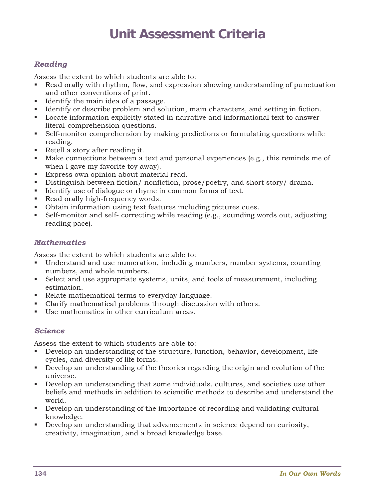# **Unit Assessment Criteria**

### *Reading*

Assess the extent to which students are able to:

- Read orally with rhythm, flow, and expression showing understanding of punctuation and other conventions of print.
- Identify the main idea of a passage.
- Identify or describe problem and solution, main characters, and setting in fiction.
- Locate information explicitly stated in narrative and informational text to answer literal-comprehension questions.
- Self-monitor comprehension by making predictions or formulating questions while reading.
- Retell a story after reading it.
- Make connections between a text and personal experiences (e.g., this reminds me of when I gave my favorite toy away).
- Express own opinion about material read.
- Distinguish between fiction/ nonfiction, prose/poetry, and short story/ drama.
- Identify use of dialogue or rhyme in common forms of text.
- Read orally high-frequency words.
- Obtain information using text features including pictures cues.
- Self-monitor and self- correcting while reading (e.g., sounding words out, adjusting reading pace).

#### *Mathematics*

Assess the extent to which students are able to:

- Understand and use numeration, including numbers, number systems, counting numbers, and whole numbers.
- Select and use appropriate systems, units, and tools of measurement, including estimation.
- Relate mathematical terms to everyday language.
- Clarify mathematical problems through discussion with others.
- Use mathematics in other curriculum areas.

#### *Science*

Assess the extent to which students are able to:

- Develop an understanding of the structure, function, behavior, development, life cycles, and diversity of life forms.
- Develop an understanding of the theories regarding the origin and evolution of the universe.
- Develop an understanding that some individuals, cultures, and societies use other beliefs and methods in addition to scientific methods to describe and understand the world.
- Develop an understanding of the importance of recording and validating cultural knowledge.
- Develop an understanding that advancements in science depend on curiosity, creativity, imagination, and a broad knowledge base.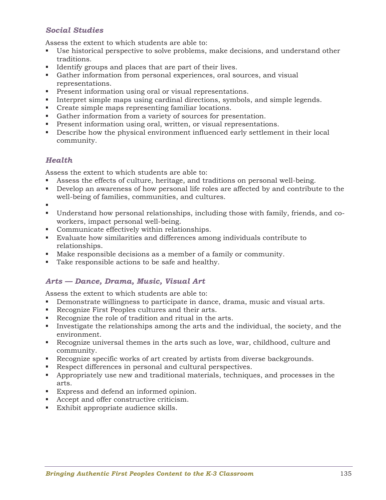### *Social Studies*

Assess the extent to which students are able to:

- Use historical perspective to solve problems, make decisions, and understand other traditions.
- Identify groups and places that are part of their lives.
- Gather information from personal experiences, oral sources, and visual representations.
- **Present information using oral or visual representations.**
- Interpret simple maps using cardinal directions, symbols, and simple legends.
- Create simple maps representing familiar locations.
- Gather information from a variety of sources for presentation.
- **Present information using oral, written, or visual representations.**
- Describe how the physical environment influenced early settlement in their local community.

### *Health*

Assess the extent to which students are able to:

- Assess the effects of culture, heritage, and traditions on personal well-being.
- Develop an awareness of how personal life roles are affected by and contribute to the well-being of families, communities, and cultures.
- .
- Understand how personal relationships, including those with family, friends, and coworkers, impact personal well-being.
- Communicate effectively within relationships.
- Evaluate how similarities and differences among individuals contribute to relationships.
- Make responsible decisions as a member of a family or community.
- Take responsible actions to be safe and healthy.

#### *Arts — Dance, Drama, Music, Visual Art*

Assess the extent to which students are able to:

- Demonstrate willingness to participate in dance, drama, music and visual arts.
- Recognize First Peoples cultures and their arts.
- Recognize the role of tradition and ritual in the arts.
- Investigate the relationships among the arts and the individual, the society, and the environment.
- Recognize universal themes in the arts such as love, war, childhood, culture and community.
- Recognize specific works of art created by artists from diverse backgrounds.
- Respect differences in personal and cultural perspectives.
- Appropriately use new and traditional materials, techniques, and processes in the arts.
- Express and defend an informed opinion.
- Accept and offer constructive criticism.
- Exhibit appropriate audience skills.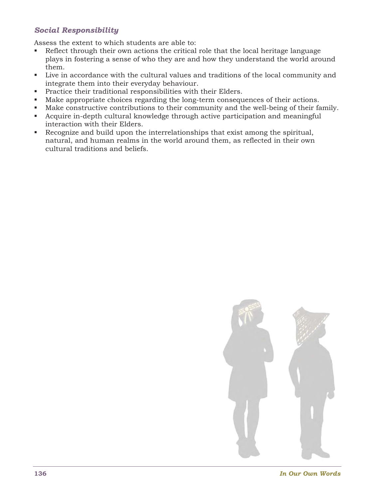### *Social Responsibility*

Assess the extent to which students are able to:

- Reflect through their own actions the critical role that the local heritage language plays in fostering a sense of who they are and how they understand the world around them.
- Live in accordance with the cultural values and traditions of the local community and integrate them into their everyday behaviour.
- **Practice their traditional responsibilities with their Elders.**
- Make appropriate choices regarding the long-term consequences of their actions.
- Make constructive contributions to their community and the well-being of their family.
- Acquire in-depth cultural knowledge through active participation and meaningful interaction with their Elders.
- Recognize and build upon the interrelationships that exist among the spiritual, natural, and human realms in the world around them, as reflected in their own cultural traditions and beliefs.



**136** *In Our Own Words*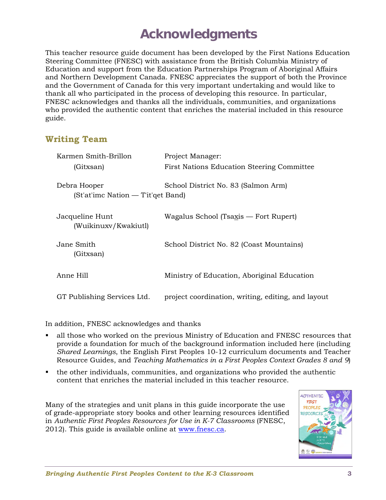# **Acknowledgments**

This teacher resource guide document has been developed by the First Nations Education Steering Committee (FNESC) with assistance from the British Columbia Ministry of Education and support from the Education Partnerships Program of Aboriginal Affairs and Northern Development Canada. FNESC appreciates the support of both the Province and the Government of Canada for this very important undertaking and would like to thank all who participated in the process of developing this resource. In particular, FNESC acknowledges and thanks all the individuals, communities, and organizations who provided the authentic content that enriches the material included in this resource guide.

### **Writing Team**

| Karmen Smith-Brillon                               | Project Manager:                                   |
|----------------------------------------------------|----------------------------------------------------|
| (Gitxsan)                                          | <b>First Nations Education Steering Committee</b>  |
| Debra Hooper<br>(St'at'imc Nation — T'it'qet Band) | School District No. 83 (Salmon Arm)                |
| Jacqueline Hunt<br>(Wuikinuxy/Kwakiutl)            | Wagalus School (Tsaxis — Fort Rupert)              |
| Jane Smith<br>(Gitxsan)                            | School District No. 82 (Coast Mountains)           |
| Anne Hill                                          | Ministry of Education, Aboriginal Education        |
| GT Publishing Services Ltd.                        | project coordination, writing, editing, and layout |

In addition, FNESC acknowledges and thanks

- all those who worked on the previous Ministry of Education and FNESC resources that provide a foundation for much of the background information included here (including *Shared Learnings*, the English First Peoples 10-12 curriculum documents and Teacher Resource Guides, and *Teaching Mathematics in a First Peoples Context Grades 8 and 9*)
- the other individuals, communities, and organizations who provided the authentic content that enriches the material included in this teacher resource.

Many of the strategies and unit plans in this guide incorporate the use of grade-appropriate story books and other learning resources identified in *Authentic First Peoples Resources for Use in K-7 Classrooms* (FNESC, 2012). This guide is available online at www.fnesc.ca.

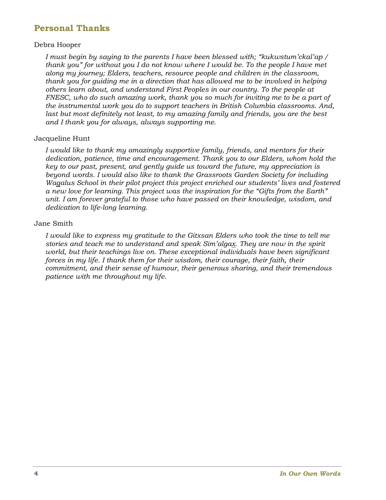### **Personal Thanks**

#### Debra Hooper

*I must begin by saying to the parents I have been blessed with; "kukwstum'ckal'ap / thank you" for without you I do not know where I would be. To the people I have met along my journey; Elders, teachers, resource people and children in the classroom, thank you for guiding me in a direction that has allowed me to be involved in helping others learn about, and understand First Peoples in our country. To the people at FNESC, who do such amazing work, thank you so much for inviting me to be a part of the instrumental work you do to support teachers in British Columbia classrooms. And,*  last but most definitely not least, to my amazing family and friends, you are the best *and I thank you for always, always supporting me.* 

#### Jacqueline Hunt

*I would like to thank my amazingly supportive family, friends, and mentors for their dedication, patience, time and encouragement. Thank you to our Elders, whom hold the key to our past, present, and gently guide us toward the future, my appreciation is beyond words. I would also like to thank the Grassroots Garden Society for including Wagalus School in their pilot project this project enriched our students' lives and fostered a new love for learning. This project was the inspiration for the "Gifts from the Earth" unit. I am forever grateful to those who have passed on their knowledge, wisdom, and dedication to life-long learning.* 

#### Jane Smith

*I would like to express my gratitude to the Gitxsan Elders who took the time to tell me stories and teach me to understand and speak Sim'algax. They are now in the spirit world, but their teachings live on. These exceptional individuals have been significant forces in my life. I thank them for their wisdom, their courage, their faith, their commitment, and their sense of humour, their generous sharing, and their tremendous patience with me throughout my life.*